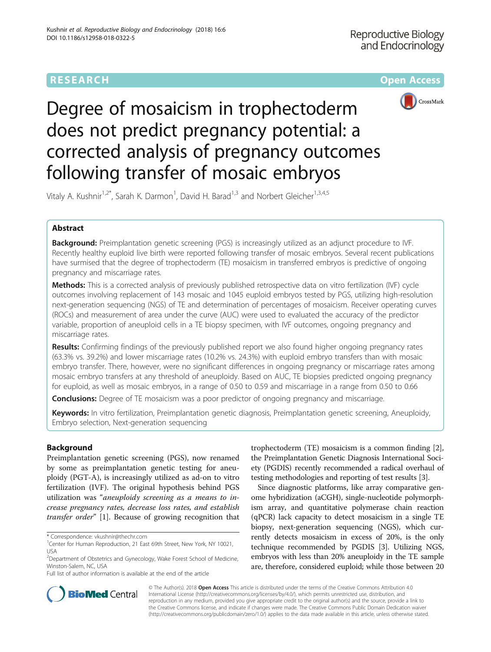

Degree of mosaicism in trophectoderm does not predict pregnancy potential: a corrected analysis of pregnancy outcomes following transfer of mosaic embryos

Vitaly A. Kushnir<sup>1,2\*</sup>, Sarah K. Darmon<sup>1</sup>, David H. Barad<sup>1,3</sup> and Norbert Gleicher<sup>1,3,4,5</sup>

# Abstract

Background: Preimplantation genetic screening (PGS) is increasingly utilized as an adjunct procedure to IVF. Recently healthy euploid live birth were reported following transfer of mosaic embryos. Several recent publications have surmised that the degree of trophectoderm (TE) mosaicism in transferred embryos is predictive of ongoing pregnancy and miscarriage rates.

Methods: This is a corrected analysis of previously published retrospective data on vitro fertilization (IVF) cycle outcomes involving replacement of 143 mosaic and 1045 euploid embryos tested by PGS, utilizing high-resolution next-generation sequencing (NGS) of TE and determination of percentages of mosaicism. Receiver operating curves (ROCs) and measurement of area under the curve (AUC) were used to evaluated the accuracy of the predictor variable, proportion of aneuploid cells in a TE biopsy specimen, with IVF outcomes, ongoing pregnancy and miscarriage rates.

**Results:** Confirming findings of the previously published report we also found higher ongoing pregnancy rates (63.3% vs. 39.2%) and lower miscarriage rates (10.2% vs. 24.3%) with euploid embryo transfers than with mosaic embryo transfer. There, however, were no significant differences in ongoing pregnancy or miscarriage rates among mosaic embryo transfers at any threshold of aneuploidy. Based on AUC, TE biopsies predicted ongoing pregnancy for euploid, as well as mosaic embryos, in a range of 0.50 to 0.59 and miscarriage in a range from 0.50 to 0.66

**Conclusions:** Degree of TE mosaicism was a poor predictor of ongoing pregnancy and miscarriage.

Keywords: In vitro fertilization, Preimplantation genetic diagnosis, Preimplantation genetic screening, Aneuploidy, Embryo selection, Next-generation sequencing

# Background

Preimplantation genetic screening (PGS), now renamed by some as preimplantation genetic testing for aneuploidy (PGT-A), is increasingly utilized as ad-on to vitro fertilization (IVF). The original hypothesis behind PGS utilization was "aneuploidy screening as a means to increase pregnancy rates, decrease loss rates, and establish transfer order" [[1\]](#page-4-0). Because of growing recognition that

Full list of author information is available at the end of the article

trophectoderm (TE) mosaicism is a common finding [\[2](#page-4-0)], the Preimplantation Genetic Diagnosis International Society (PGDIS) recently recommended a radical overhaul of testing methodologies and reporting of test results [\[3](#page-4-0)].

Since diagnostic platforms, like array comparative genome hybridization (aCGH), single-nucleotide polymorphism array, and quantitative polymerase chain reaction (qPCR) lack capacity to detect mosaicism in a single TE biopsy, next-generation sequencing (NGS), which currently detects mosaicism in excess of 20%, is the only technique recommended by PGDIS [[3](#page-4-0)]. Utilizing NGS, embryos with less than 20% aneuploidy in the TE sample are, therefore, considered euploid; while those between 20



© The Author(s). 2018 Open Access This article is distributed under the terms of the Creative Commons Attribution 4.0 International License [\(http://creativecommons.org/licenses/by/4.0/](http://creativecommons.org/licenses/by/4.0/)), which permits unrestricted use, distribution, and reproduction in any medium, provided you give appropriate credit to the original author(s) and the source, provide a link to the Creative Commons license, and indicate if changes were made. The Creative Commons Public Domain Dedication waiver [\(http://creativecommons.org/publicdomain/zero/1.0/](http://creativecommons.org/publicdomain/zero/1.0/)) applies to the data made available in this article, unless otherwise stated.

<sup>\*</sup> Correspondence: [vkushnir@thechr.com](mailto:vkushnir@thechr.com) <sup>1</sup>

<sup>&</sup>lt;sup>1</sup>Center for Human Reproduction, 21 East 69th Street, New York, NY 10021, USA

<sup>&</sup>lt;sup>2</sup>Department of Obstetrics and Gynecology, Wake Forest School of Medicine, Winston-Salem, NC, USA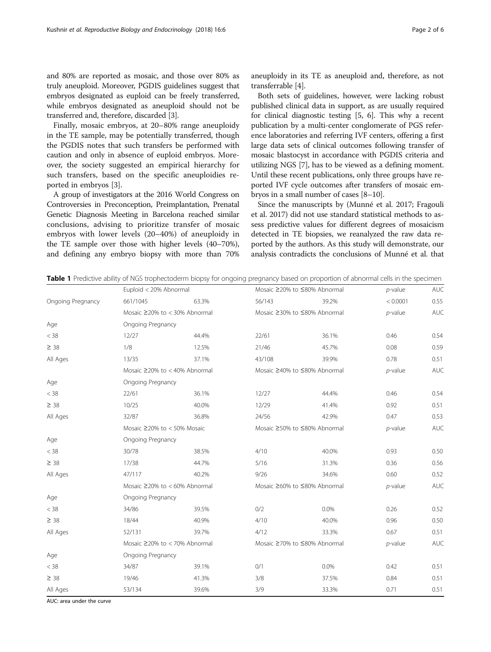<span id="page-1-0"></span>and 80% are reported as mosaic, and those over 80% as truly aneuploid. Moreover, PGDIS guidelines suggest that embryos designated as euploid can be freely transferred, while embryos designated as aneuploid should not be transferred and, therefore, discarded [\[3](#page-4-0)].

Finally, mosaic embryos, at 20–80% range aneuploidy in the TE sample, may be potentially transferred, though the PGDIS notes that such transfers be performed with caution and only in absence of euploid embryos. Moreover, the society suggested an empirical hierarchy for such transfers, based on the specific aneuploidies reported in embryos [\[3\]](#page-4-0).

A group of investigators at the 2016 World Congress on Controversies in Preconception, Preimplantation, Prenatal Genetic Diagnosis Meeting in Barcelona reached similar conclusions, advising to prioritize transfer of mosaic embryos with lower levels (20–40%) of aneuploidy in the TE sample over those with higher levels (40–70%), and defining any embryo biopsy with more than 70% aneuploidy in its TE as aneuploid and, therefore, as not transferrable [[4\]](#page-4-0).

Both sets of guidelines, however, were lacking robust published clinical data in support, as are usually required for clinical diagnostic testing [[5, 6](#page-5-0)]. This why a recent publication by a multi-center conglomerate of PGS reference laboratories and referring IVF centers, offering a first large data sets of clinical outcomes following transfer of mosaic blastocyst in accordance with PGDIS criteria and utilizing NGS [[7](#page-5-0)], has to be viewed as a defining moment. Until these recent publications, only three groups have reported IVF cycle outcomes after transfers of mosaic embryos in a small number of cases [\[8](#page-5-0)–[10](#page-5-0)].

Since the manuscripts by (Munné et al. 2017; Fragouli et al. 2017) did not use standard statistical methods to assess predictive values for different degrees of mosaicism detected in TE biopsies, we reanalyzed the raw data reported by the authors. As this study will demonstrate, our analysis contradicts the conclusions of Munné et al. that

Table 1 Predictive ability of NGS trophectoderm biopsy for ongoing pregnancy based on proportion of abnormal cells in the specimen

|                   | Euploid < 20% Abnormal              |       | Mosaic ≥20% to ≤80% Abnormal |         | $p$ -value | <b>AUC</b> |
|-------------------|-------------------------------------|-------|------------------------------|---------|------------|------------|
| Ongoing Pregnancy | 661/1045                            | 63.3% | 56/143                       | 39.2%   | < 0.0001   | 0.55       |
|                   | Mosaic $\geq$ 20% to < 30% Abnormal |       | Mosaic ≥30% to ≤80% Abnormal |         | $p$ -value | <b>AUC</b> |
| Age               | Ongoing Pregnancy                   |       |                              |         |            |            |
| $<$ 38            | 12/27                               | 44.4% | 22/61                        | 36.1%   | 0.46       | 0.54       |
| $\geq$ 38         | 1/8                                 | 12.5% | 21/46                        | 45.7%   | 0.08       | 0.59       |
| All Ages          | 13/35                               | 37.1% | 43/108                       | 39.9%   | 0.78       | 0.51       |
|                   | Mosaic $\geq$ 20% to < 40% Abnormal |       | Mosaic ≥40% to ≤80% Abnormal |         | $p$ -value | <b>AUC</b> |
| Age               | Ongoing Pregnancy                   |       |                              |         |            |            |
| $<$ 38            | 22/61                               | 36.1% | 12/27                        | 44.4%   | 0.46       | 0.54       |
| $\geq$ 38         | 10/25                               | 40.0% | 12/29                        | 41.4%   | 0.92       | 0.51       |
| All Ages          | 32/87                               | 36.8% | 24/56                        | 42.9%   | 0.47       | 0.53       |
|                   | Mosaic $\geq$ 20% to < 50% Mosaic   |       | Mosaic ≥50% to ≤80% Abnormal |         | $p$ -value | <b>AUC</b> |
| Age               | Ongoing Pregnancy                   |       |                              |         |            |            |
| $<$ 38            | 30/78                               | 38.5% | 4/10                         | 40.0%   | 0.93       | 0.50       |
| $\geq$ 38         | 17/38                               | 44.7% | 5/16                         | 31.3%   | 0.36       | 0.56       |
| All Ages          | 47/117                              | 40.2% | 9/26                         | 34.6%   | 0.60       | 0.52       |
|                   | Mosaic ≥20% to < 60% Abnormal       |       | Mosaic ≥60% to ≤80% Abnormal |         | $p$ -value | <b>AUC</b> |
| Age               | Ongoing Pregnancy                   |       |                              |         |            |            |
| $<$ 38            | 34/86                               | 39.5% | 0/2                          | $0.0\%$ | 0.26       | 0.52       |
| $\geq$ 38         | 18/44                               | 40.9% | 4/10                         | 40.0%   | 0.96       | 0.50       |
| All Ages          | 52/131                              | 39.7% | 4/12                         | 33.3%   | 0.67       | 0.51       |
|                   | Mosaic ≥20% to < 70% Abnormal       |       | Mosaic ≥70% to ≤80% Abnormal |         | $p$ -value | <b>AUC</b> |
| Age               | Ongoing Pregnancy                   |       |                              |         |            |            |
| $<$ 38            | 34/87                               | 39.1% | 0/1                          | $0.0\%$ | 0.42       | 0.51       |
| $\geq 38$         | 19/46                               | 41.3% | 3/8                          | 37.5%   | 0.84       | 0.51       |
| All Ages          | 53/134                              | 39.6% | 3/9                          | 33.3%   | 0.71       | 0.51       |

AUC: area under the curve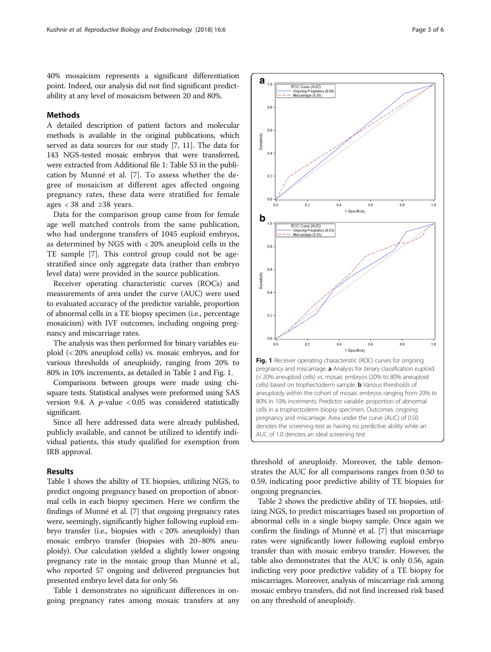<span id="page-2-0"></span>40% mosaicism represents a significant differentiation point. Indeed, our analysis did not find significant predictability at any level of mosaicism between 20 and 80%.

 $a_{1,0}$ 

 $0.8$ 

 $0.4$ 

ROC Curve (AUC)<br>— Ongoing Pregnancy (0.56)<br>- Miscarriage (0.55)

## Methods

A detailed description of patient factors and molecular methods is available in the original publications, which served as data sources for our study [[7, 11\]](#page-5-0). The data for 143 NGS-tested mosaic embryos that were transferred, were extracted from Additional file [1](#page-4-0): Table S3 in the publication by Munné et al. [\[7](#page-5-0)]. To assess whether the degree of mosaicism at different ages affected ongoing pregnancy rates, these data were stratified for female ages < 38 and ≥38 years.

Data for the comparison group came from for female age well matched controls from the same publication, who had undergone transfers of 1045 euploid embryos, as determined by NGS with < 20% aneuploid cells in the TE sample [[7](#page-5-0)]. This control group could not be agestratified since only aggregate data (rather than embryo level data) were provided in the source publication.

Receiver operating characteristic curves (ROCs) and measurements of area under the curve (AUC) were used to evaluated accuracy of the predictor variable, proportion of abnormal cells in a TE biopsy specimen (i.e., percentage mosaicism) with IVF outcomes, including ongoing pregnancy and miscarriage rates.

The analysis was then performed for binary variables euploid (< 20% aneuploid cells) vs. mosaic embryos, and for various thresholds of aneuploidy, ranging from 20% to 80% in 10% increments, as detailed in Table [1](#page-1-0) and Fig. 1.

Comparisons between groups were made using chisquare tests. Statistical analyses were preformed using SAS version 9.4. A  $p$ -value < 0.05 was considered statistically significant.

Since all here addressed data were already published, publicly available, and cannot be utilized to identify individual patients, this study qualified for exemption from IRB approval.

## Results

Table [1](#page-1-0) shows the ability of TE biopsies, utilizing NGS, to predict ongoing pregnancy based on proportion of abnormal cells in each biopsy specimen. Here we confirm the findings of Munné et al. [\[7](#page-5-0)] that ongoing pregnancy rates were, seemingly, significantly higher following euploid embryo transfer (i.e., biopsies with < 20% aneuploidy) than mosaic embryo transfer (biopsies with 20–80% aneuploidy). Our calculation yielded a slightly lower ongoing pregnancy rate in the mosaic group than Munné et al., who reported 57 ongoing and delivered pregnancies but presented embryo level data for only 56.

Table [1](#page-1-0) demonstrates no significant differences in ongoing pregnancy rates among mosaic transfers at any

 $0.2$  $0<sup>0</sup>$  $0.2$  $0.4$  $0.6$  $0.8$  $\overline{1}$ 1-Specificity h ROC Curve (AUC)<br>- Ongoing Pregnan<br>- Miscarriage (0.55) ,<br>ncy (0.53  $0.8$  $0.4$  $0.2$  $0.0$  $0.2$  $0.8$  $1.0$  $0.4$  $0.6$ 1-Specificity Fig. 1 Receiver operating characteristic (ROC) curves for ongoing pregnancy and miscarriage. a Analysis for binary classification euploid (< 20% aneuploid cells) vs. mosaic embryos (20% to 80% aneuploid cells) based on trophectoderm sample. **b** Various thresholds of aneuploidy within the cohort of mosaic embryos ranging from 20% to 80% in 10% increments. Predictor variable: proportion of abnormal cells in a trophectoderm biopsy specimen. Outcomes: ongoing pregnancy and miscarriage. Area under the curve (AUC) of 0.50 denotes the screening test as having no predictive ability while an AUC of 1.0 denotes an ideal screening test

threshold of aneuploidy. Moreover, the table demonstrates the AUC for all comparisons ranges from 0.50 to 0.59, indicating poor predictive ability of TE biopsies for ongoing pregnancies.

Table [2](#page-3-0) shows the predictive ability of TE biopsies, utilizing NGS, to predict miscarriages based on proportion of abnormal cells in a single biopsy sample. Once again we confirm the findings of Munné et al. [\[7\]](#page-5-0) that miscarriage rates were significantly lower following euploid embryo transfer than with mosaic embryo transfer. However, the table also demonstrates that the AUC is only 0.56, again indicting very poor predictive validity of a TE biopsy for miscarriages. Moreover, analysis of miscarriage risk among mosaic embryo transfers, did not find increased risk based on any threshold of aneuploidy.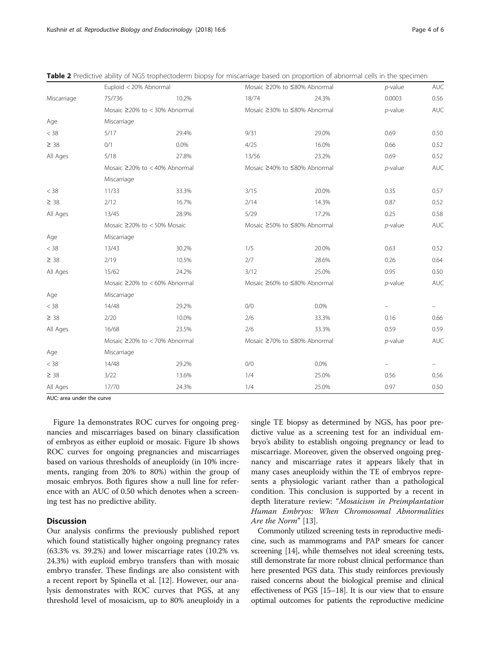|             |                                     | Euploid < 20% Abnormal              |       | Mosaic ≥20% to ≤80% Abnormal |        | <b>AUC</b> |
|-------------|-------------------------------------|-------------------------------------|-------|------------------------------|--------|------------|
| Miscarriage | 75/736                              | 10.2%                               | 18/74 | 24.3%                        | 0.0003 | 0.56       |
|             |                                     | Mosaic $\geq$ 20% to < 30% Abnormal |       | Mosaic ≥30% to ≤80% Abnormal |        | <b>AUC</b> |
| Age         | Miscarriage                         |                                     |       |                              |        |            |
| $<$ 38      | 5/17                                | 29.4%                               | 9/31  | 29.0%                        | 0.69   | 0.50       |
| $\geq 38$   | 0/1                                 | 0.0%                                | 4/25  | 16.0%                        | 0.66   | 0.52       |
| All Ages    | 5/18                                | 27.8%                               | 13/56 | 23.2%                        | 0.69   | 0.52       |
|             | Mosaic $\geq$ 20% to < 40% Abnormal |                                     |       | Mosaic ≥40% to ≤80% Abnormal |        | <b>AUC</b> |
|             | Miscarriage                         |                                     |       |                              |        |            |
| $<$ 38      | 11/33                               | 33.3%                               | 3/15  | 20.0%                        | 0.35   | 0.57       |
| $\geq 38$   | 2/12                                | 16.7%                               | 2/14  | 14.3%                        | 0.87   | 0.52       |
| All Ages    | 13/45                               | 28.9%                               | 5/29  | 17.2%                        | 0.25   | 0.58       |
|             |                                     | Mosaic $\geq$ 20% to < 50% Mosaic   |       | Mosaic ≥50% to ≤80% Abnormal |        | <b>AUC</b> |
| Age         | Miscarriage                         |                                     |       |                              |        |            |
| < 38        | 13/43                               | 30.2%                               | 1/5   | 20.0%                        | 0.63   | 0.52       |
| $\geq 38$   | 2/19                                | 10.5%                               | 2/7   | 28.6%                        | 0.26   | 0.64       |
| All Ages    | 15/62                               | 24.2%                               | 3/12  | 25.0%                        | 0.95   | 0.50       |
|             | Mosaic ≥20% to < 60% Abnormal       |                                     |       | Mosaic ≥60% to ≤80% Abnormal |        | <b>AUC</b> |
| Age         | Miscarriage                         |                                     |       |                              |        |            |
| < 38        | 14/48                               | 29.2%                               | 0/0   | $0.0\%$                      |        |            |
| $\geq 38$   | 2/20                                | 10.0%                               | 2/6   | 33.3%                        | 0.16   | 0.66       |
| All Ages    | 16/68                               | 23.5%                               | 2/6   | 33.3%                        | 0.59   | 0.59       |
|             |                                     | Mosaic $\geq$ 20% to < 70% Abnormal |       | Mosaic ≥70% to ≤80% Abnormal |        | <b>AUC</b> |
| Age         | Miscarriage                         |                                     |       |                              |        |            |
| < 38        | 14/48                               | 29.2%                               | 0/0   | 0.0%                         |        |            |
| $\geq 38$   | 3/22                                | 13.6%                               | 1/4   | 25.0%                        | 0.56   | 0.56       |
|             |                                     |                                     |       |                              |        |            |

All Ages 17/70 24.3% 1/4 25.0% 0.97 0.50

<span id="page-3-0"></span>Table 2 Predictive ability of NGS trophectoderm biopsy for miscarriage based on proportion of abnormal cells in the specimen

AUC: area under the curve

Figure [1a](#page-2-0) demonstrates ROC curves for ongoing pregnancies and miscarriages based on binary classification of embryos as either euploid or mosaic. Figure [1b](#page-2-0) shows ROC curves for ongoing pregnancies and miscarriages based on various thresholds of aneuploidy (in 10% increments, ranging from 20% to 80%) within the group of mosaic embryos. Both figures show a null line for reference with an AUC of 0.50 which denotes when a screening test has no predictive ability.

## **Discussion**

Our analysis confirms the previously published report which found statistically higher ongoing pregnancy rates (63.3% vs. 39.2%) and lower miscarriage rates (10.2% vs. 24.3%) with euploid embryo transfers than with mosaic embryo transfer. These findings are also consistent with a recent report by Spinella et al. [[12\]](#page-5-0). However, our analysis demonstrates with ROC curves that PGS, at any threshold level of mosaicism, up to 80% aneuploidy in a single TE biopsy as determined by NGS, has poor predictive value as a screening test for an individual embryo's ability to establish ongoing pregnancy or lead to miscarriage. Moreover, given the observed ongoing pregnancy and miscarriage rates it appears likely that in many cases aneuploidy within the TE of embryos represents a physiologic variant rather than a pathological condition. This conclusion is supported by a recent in depth literature review: "Mosaicism in Preimplantation Human Embryos: When Chromosomal Abnormalities Are the Norm" [\[13](#page-5-0)].

Commonly utilized screening tests in reproductive medicine, such as mammograms and PAP smears for cancer screening [[14](#page-5-0)], while themselves not ideal screening tests, still demonstrate far more robust clinical performance than here presented PGS data. This study reinforces previously raised concerns about the biological premise and clinical effectiveness of PGS [[15](#page-5-0)–[18\]](#page-5-0). It is our view that to ensure optimal outcomes for patients the reproductive medicine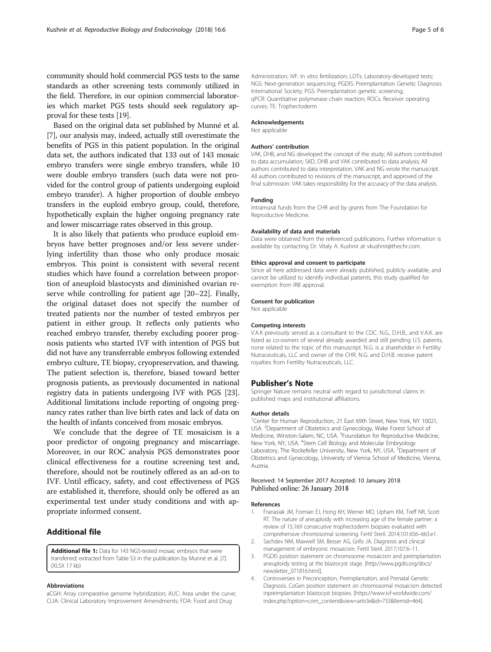<span id="page-4-0"></span>Based on the original data set published by Munné et al. [[7](#page-5-0)], our analysis may, indeed, actually still overestimate the benefits of PGS in this patient population. In the original data set, the authors indicated that 133 out of 143 mosaic embryo transfers were single embryo transfers, while 10 were double embryo transfers (such data were not provided for the control group of patients undergoing euploid embryo transfer). A higher proportion of double embryo transfers in the euploid embryo group, could, therefore, hypothetically explain the higher ongoing pregnancy rate and lower miscarriage rates observed in this group.

It is also likely that patients who produce euploid embryos have better prognoses and/or less severe underlying infertility than those who only produce mosaic embryos. This point is consistent with several recent studies which have found a correlation between proportion of aneuploid blastocysts and diminished ovarian reserve while controlling for patient age [\[20](#page-5-0)–[22\]](#page-5-0). Finally, the original dataset does not specify the number of treated patients nor the number of tested embryos per patient in either group. It reflects only patients who reached embryo transfer, thereby excluding poorer prognosis patients who started IVF with intention of PGS but did not have any transferrable embryos following extended embryo culture, TE biopsy, cryopreservation, and thawing. The patient selection is, therefore, biased toward better prognosis patients, as previously documented in national registry data in patients undergoing IVF with PGS [[23](#page-5-0)]. Additional limitations include reporting of ongoing pregnancy rates rather than live birth rates and lack of data on the health of infants conceived from mosaic embryos.

We conclude that the degree of TE mosaicism is a poor predictor of ongoing pregnancy and miscarriage. Moreover, in our ROC analysis PGS demonstrates poor clinical effectiveness for a routine screening test and, therefore, should not be routinely offered as an ad-on to IVF. Until efficacy, safety, and cost effectiveness of PGS are established it, therefore, should only be offered as an experimental test under study conditions and with appropriate informed consent.

## Additional file

[Additional file 1:](dx.doi.org/10.1186/s12958-018-0322-5) Data for 143 NGS-tested mosaic embryos that were transferred; extracted from Table S3 in the publication by Munné et al. [\[7\]](#page-5-0). (XI SX 17 kb)

#### Abbreviations

aCGH: Array comparative genome hybridization; AUC: Area under the curve; CLIA: Clinical Laboratory Improvement Amendments; FDA: Food and Drug

Administration; IVF: In vitro fertilization; LDTs: Laboratory-developed tests; NGS: Next-generation sequencing; PGDIS: Preimplantation Genetic Diagnosis International Society; PGS: Preimplantation genetic screening; qPCR: Quantitative polymerase chain reaction; ROCs: Receiver operating curves; TE: Trophectoderm

### Acknowledgements

Not applicable

#### Authors' contribution

VAK, DHB, and NG developed the concept of the study; All authors contributed to data accumulation; SKD, DHB and VAK contributed to data analysis; All authors contributed to data interpretation. VAK and NG wrote the manuscript. All authors contributed to revisions of the manuscript, and approved of the final submission. VAK takes responsibility for the accuracy of the data analysis.

## Funding

Intramural funds from the CHR and by grants from The Foundation for Reproductive Medicine.

#### Availability of data and materials

Data were obtained from the referenced publications. Further information is available by contacting Dr. Vitaly A. Kushnir at vkushnir@thechr.com.

#### Ethics approval and consent to participate

Since all here addressed data were already published, publicly available, and cannot be utilized to identify individual patients, this study qualified for exemption from IRB approval.

#### Consent for publication

Not applicable

#### Competing interests

V.A.K previously served as a consultant to the CDC. N.G., D.H.B., and V.A.K. are listed as co-owners of several already awarded and still pending U.S. patents, none related to the topic of this manuscript. N.G. is a shareholder in Fertility Nutraceuticals, LLC and owner of the CHR. N.G. and D.H.B. receive patent royalties from Fertility Nutraceuticals, LLC.

### Publisher's Note

Springer Nature remains neutral with regard to jurisdictional claims in published maps and institutional affiliations.

#### Author details

<sup>1</sup> Center for Human Reproduction, 21 East 69th Street, New York, NY 10021 USA. <sup>2</sup> Department of Obstetrics and Gynecology, Wake Forest School of Medicine, Winston-Salem, NC, USA. <sup>3</sup> Foundation for Reproductive Medicine, New York, NY, USA. <sup>4</sup>Stem Cell Biology and Molecular Embryology Laboratory, The Rockefeller University, New York, NY, USA. <sup>5</sup>Department of Obstetrics and Gynecology, University of Vienna School of Medicine, Vienna, Austria.

### Received: 14 September 2017 Accepted: 10 January 2018 Published online: 26 January 2018

### References

- 1. Franasiak JM, Forman EJ, Hong KH, Werner MD, Upham KM, Treff NR, Scott RT. The nature of aneuploidy with increasing age of the female partner: a review of 15,169 consecutive trophectoderm biopsies evaluated with comprehensive chromosomal screening. Fertil Steril. 2014;101:656–663.e1.
- 2. Sachdev NM, Maxwell SM, Besser AG, Grifo JA. Diagnosis and clinical management of embryonic mosaicism. Fertil Steril. 2017;107:6–11.
- 3. PGDIS position statement on chromosome mosaicism and preimplantation aneuploidy testing at the blastocyst stage. [[http://www.pgdis.org/docs/](http://www.pgdis.org/docs/newsletter_071816.html) [newsletter\\_071816.html\]](http://www.pgdis.org/docs/newsletter_071816.html).
- 4. Controversies in Preconception, Preimplantation, and Prenatal Genetic Diagnosis. CoGen position statement on chromosomal mosaicism detected inpreimplantation blastocyst biopsies. [\[https://www.ivf-worldwide.com/](https://www.ivf-worldwide.com/index.php?option=com_content&view=article&id=733&Itemid=464) [index.php?option=com\\_content&view=article&id=733&Itemid=464\]](https://www.ivf-worldwide.com/index.php?option=com_content&view=article&id=733&Itemid=464).